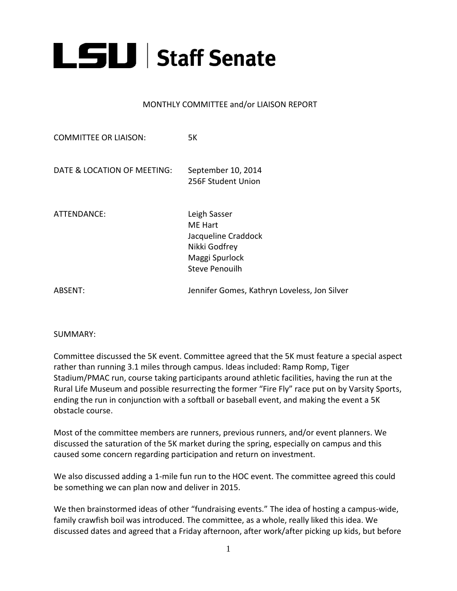

## MONTHLY COMMITTEE and/or LIAISON REPORT

| <b>COMMITTEE OR LIAISON:</b> | 5K                                                                                                         |
|------------------------------|------------------------------------------------------------------------------------------------------------|
| DATE & LOCATION OF MEETING:  | September 10, 2014<br>256F Student Union                                                                   |
| ATTENDANCE:                  | Leigh Sasser<br>ME Hart<br>Jacqueline Craddock<br>Nikki Godfrey<br>Maggi Spurlock<br><b>Steve Penouilh</b> |
| ABSENT:                      | Jennifer Gomes, Kathryn Loveless, Jon Silver                                                               |

SUMMARY:

Committee discussed the 5K event. Committee agreed that the 5K must feature a special aspect rather than running 3.1 miles through campus. Ideas included: Ramp Romp, Tiger Stadium/PMAC run, course taking participants around athletic facilities, having the run at the Rural Life Museum and possible resurrecting the former "Fire Fly" race put on by Varsity Sports, ending the run in conjunction with a softball or baseball event, and making the event a 5K obstacle course.

Most of the committee members are runners, previous runners, and/or event planners. We discussed the saturation of the 5K market during the spring, especially on campus and this caused some concern regarding participation and return on investment.

We also discussed adding a 1-mile fun run to the HOC event. The committee agreed this could be something we can plan now and deliver in 2015.

We then brainstormed ideas of other "fundraising events." The idea of hosting a campus-wide, family crawfish boil was introduced. The committee, as a whole, really liked this idea. We discussed dates and agreed that a Friday afternoon, after work/after picking up kids, but before